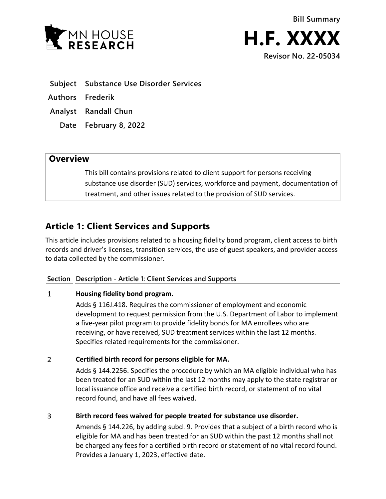

- **Subject Substance Use Disorder Services**
- **Authors Frederik**
- **Analyst Randall Chun**
	- **Date February 8, 2022**

## **Overview**

This bill contains provisions related to client support for persons receiving substance use disorder (SUD) services, workforce and payment, documentation of treatment, and other issues related to the provision of SUD services.

# **Article 1: Client Services and Supports**

This article includes provisions related to a housing fidelity bond program, client access to birth records and driver's licenses, transition services, the use of guest speakers, and provider access to data collected by the commissioner.

## **Section Description - Article 1: Client Services and Supports**

#### $\mathbf{1}$ **Housing fidelity bond program.**

Adds § 116J.418. Requires the commissioner of employment and economic development to request permission from the U.S. Department of Labor to implement a five-year pilot program to provide fidelity bonds for MA enrollees who are receiving, or have received, SUD treatment services within the last 12 months. Specifies related requirements for the commissioner.

#### $\overline{2}$ **Certified birth record for persons eligible for MA.**

Adds § 144.2256. Specifies the procedure by which an MA eligible individual who has been treated for an SUD within the last 12 months may apply to the state registrar or local issuance office and receive a certified birth record, or statement of no vital record found, and have all fees waived.

#### 3 **Birth record fees waived for people treated for substance use disorder.**

Amends § 144.226, by adding subd. 9. Provides that a subject of a birth record who is eligible for MA and has been treated for an SUD within the past 12 months shall not be charged any fees for a certified birth record or statement of no vital record found. Provides a January 1, 2023, effective date.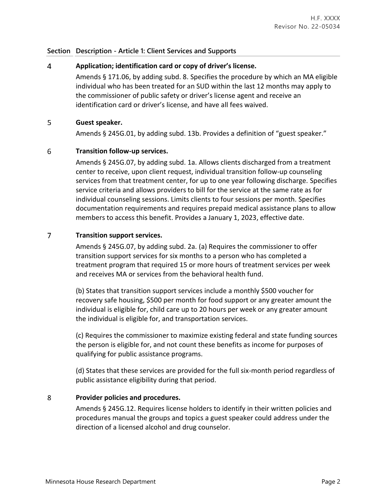### **Section Description - Article 1: Client Services and Supports**

#### $\overline{4}$ **Application; identification card or copy of driver's license.**

Amends § 171.06, by adding subd. 8. Specifies the procedure by which an MA eligible individual who has been treated for an SUD within the last 12 months may apply to the commissioner of public safety or driver's license agent and receive an identification card or driver's license, and have all fees waived.

#### 5 **Guest speaker.**

Amends § 245G.01, by adding subd. 13b. Provides a definition of "guest speaker."

#### 6 **Transition follow-up services.**

Amends § 245G.07, by adding subd. 1a. Allows clients discharged from a treatment center to receive, upon client request, individual transition follow-up counseling services from that treatment center, for up to one year following discharge. Specifies service criteria and allows providers to bill for the service at the same rate as for individual counseling sessions. Limits clients to four sessions per month. Specifies documentation requirements and requires prepaid medical assistance plans to allow members to access this benefit. Provides a January 1, 2023, effective date.

#### $\overline{7}$ **Transition support services.**

Amends § 245G.07, by adding subd. 2a. (a) Requires the commissioner to offer transition support services for six months to a person who has completed a treatment program that required 15 or more hours of treatment services per week and receives MA or services from the behavioral health fund.

(b) States that transition support services include a monthly \$500 voucher for recovery safe housing, \$500 per month for food support or any greater amount the individual is eligible for, child care up to 20 hours per week or any greater amount the individual is eligible for, and transportation services.

(c) Requires the commissioner to maximize existing federal and state funding sources the person is eligible for, and not count these benefits as income for purposes of qualifying for public assistance programs.

(d) States that these services are provided for the full six-month period regardless of public assistance eligibility during that period.

#### 8 **Provider policies and procedures.**

Amends § 245G.12. Requires license holders to identify in their written policies and procedures manual the groups and topics a guest speaker could address under the direction of a licensed alcohol and drug counselor.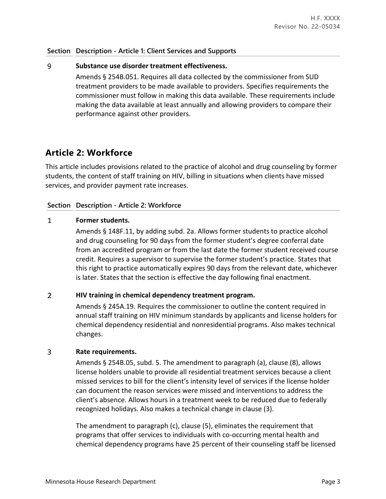### **Section Description - Article 1: Client Services and Supports**

#### 9 **Substance use disorder treatment effectiveness.**

Amends § 254B.051. Requires all data collected by the commissioner from SUD treatment providers to be made available to providers. Specifies requirements the commissioner must follow in making this data available. These requirements include making the data available at least annually and allowing providers to compare their performance against other providers.

## **Article 2: Workforce**

This article includes provisions related to the practice of alcohol and drug counseling by former students, the content of staff training on HIV, billing in situations when clients have missed services, and provider payment rate increases.

### **Section Description - Article 2: Workforce**

#### $\mathbf{1}$ **Former students.**

Amends § 148F.11, by adding subd. 2a. Allows former students to practice alcohol and drug counseling for 90 days from the former student's degree conferral date from an accredited program or from the last date the former student received course credit. Requires a supervisor to supervise the former student's practice. States that this right to practice automatically expires 90 days from the relevant date, whichever is later. States that the section is effective the day following final enactment.

#### $\overline{2}$ **HIV training in chemical dependency treatment program.**

Amends § 245A.19. Requires the commissioner to outline the content required in annual staff training on HIV minimum standards by applicants and license holders for chemical dependency residential and nonresidential programs. Also makes technical changes.

#### $\overline{3}$ **Rate requirements.**

Amends § 254B.05, subd. 5. The amendment to paragraph (a), clause (8), allows license holders unable to provide all residential treatment services because a client missed services to bill for the client's intensity level of services if the license holder can document the reason services were missed and interventions to address the client's absence. Allows hours in a treatment week to be reduced due to federally recognized holidays. Also makes a technical change in clause (3).

The amendment to paragraph (c), clause (5), eliminates the requirement that programs that offer services to individuals with co-occurring mental health and chemical dependency programs have 25 percent of their counseling staff be licensed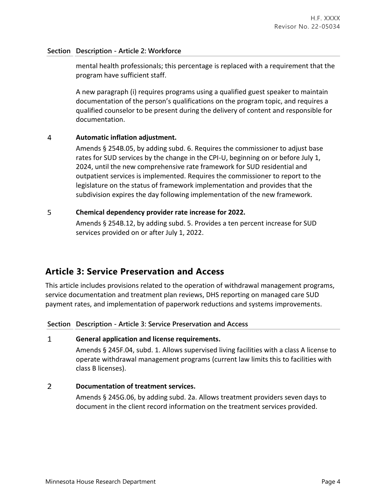### **Section Description - Article 2: Workforce**

mental health professionals; this percentage is replaced with a requirement that the program have sufficient staff.

A new paragraph (i) requires programs using a qualified guest speaker to maintain documentation of the person's qualifications on the program topic, and requires a qualified counselor to be present during the delivery of content and responsible for documentation.

#### 4 **Automatic inflation adjustment.**

Amends § 254B.05, by adding subd. 6. Requires the commissioner to adjust base rates for SUD services by the change in the CPI-U, beginning on or before July 1, 2024, until the new comprehensive rate framework for SUD residential and outpatient services is implemented. Requires the commissioner to report to the legislature on the status of framework implementation and provides that the subdivision expires the day following implementation of the new framework.

#### 5 **Chemical dependency provider rate increase for 2022.**

Amends § 254B.12, by adding subd. 5. Provides a ten percent increase for SUD services provided on or after July 1, 2022.

## **Article 3: Service Preservation and Access**

This article includes provisions related to the operation of withdrawal management programs, service documentation and treatment plan reviews, DHS reporting on managed care SUD payment rates, and implementation of paperwork reductions and systems improvements.

### **Section Description - Article 3: Service Preservation and Access**

#### $\mathbf{1}$ **General application and license requirements.**

Amends § 245F.04, subd. 1. Allows supervised living facilities with a class A license to operate withdrawal management programs (current law limits this to facilities with class B licenses).

#### $\mathcal{L}$ **Documentation of treatment services.**

Amends § 245G.06, by adding subd. 2a. Allows treatment providers seven days to document in the client record information on the treatment services provided.